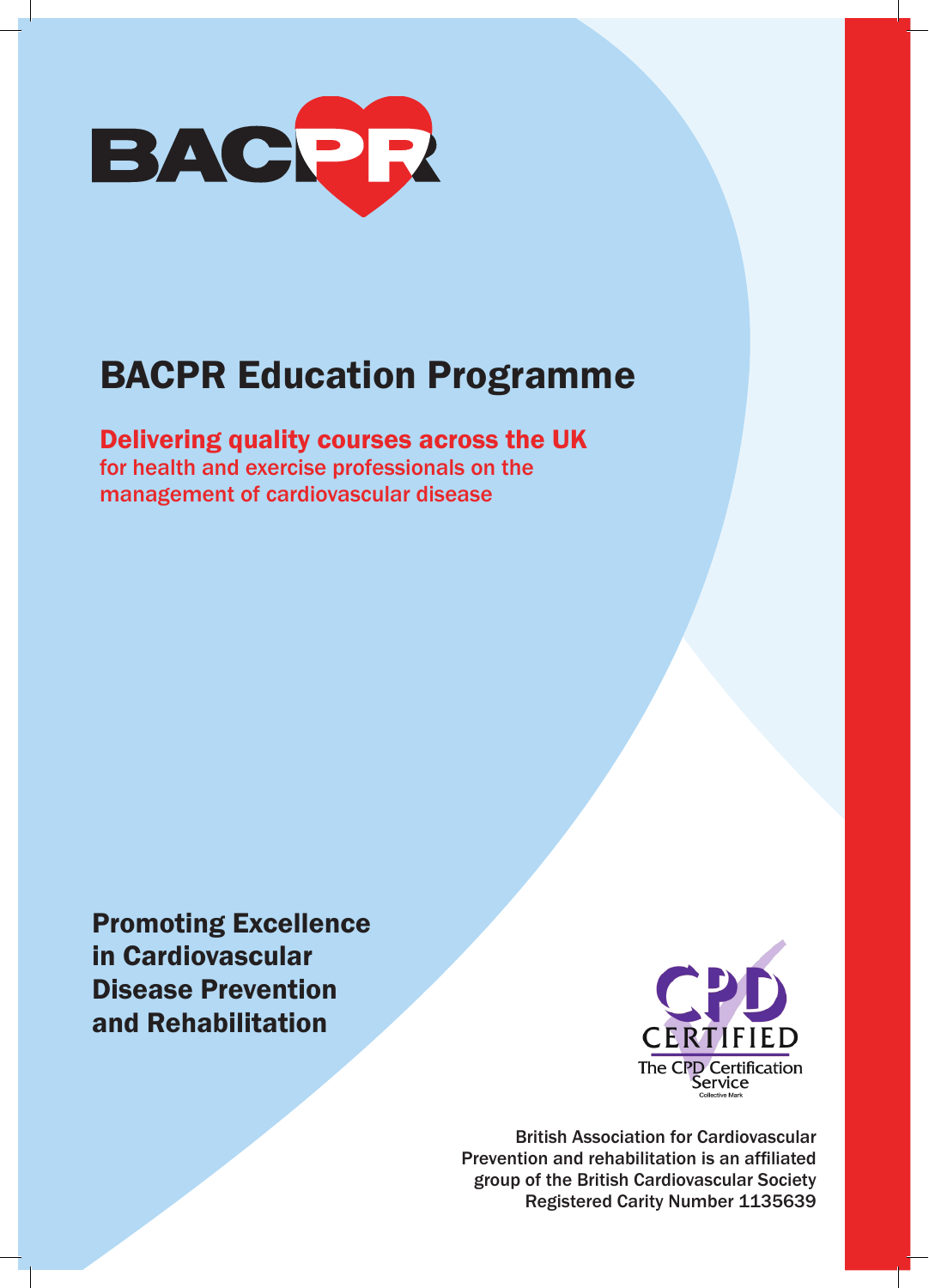

# BACPR Education Programme

# Delivering quality courses across the UK

for health and exercise professionals on the management of cardiovascular disease

Promoting Excellence in Cardiovascular Disease Prevention and Rehabilitation



British Association for Cardiovascular Prevention and rehabilitation is an affiliated group of the British Cardiovascular Society Registered Carity Number 1135639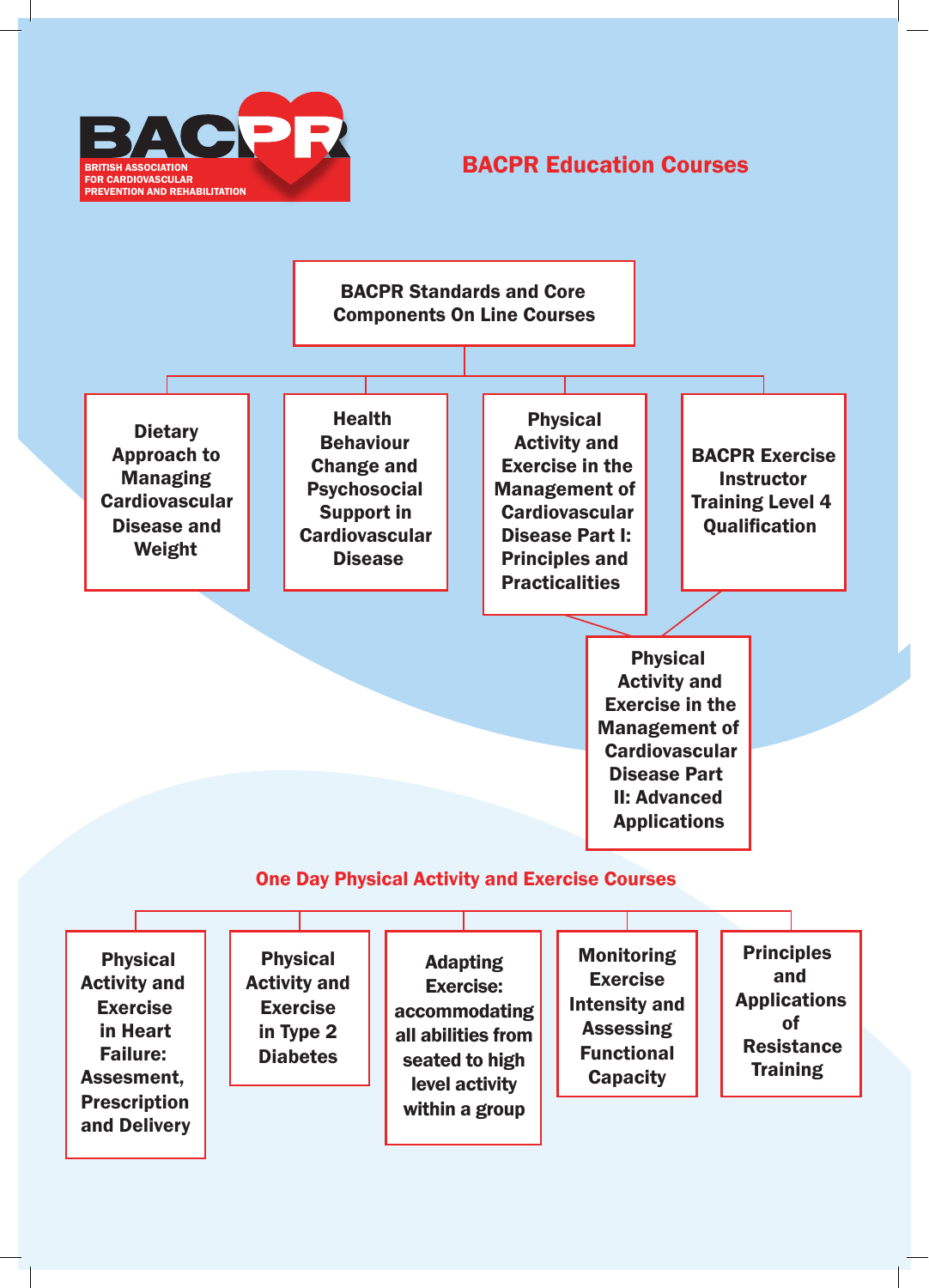

# BACPR Education Courses

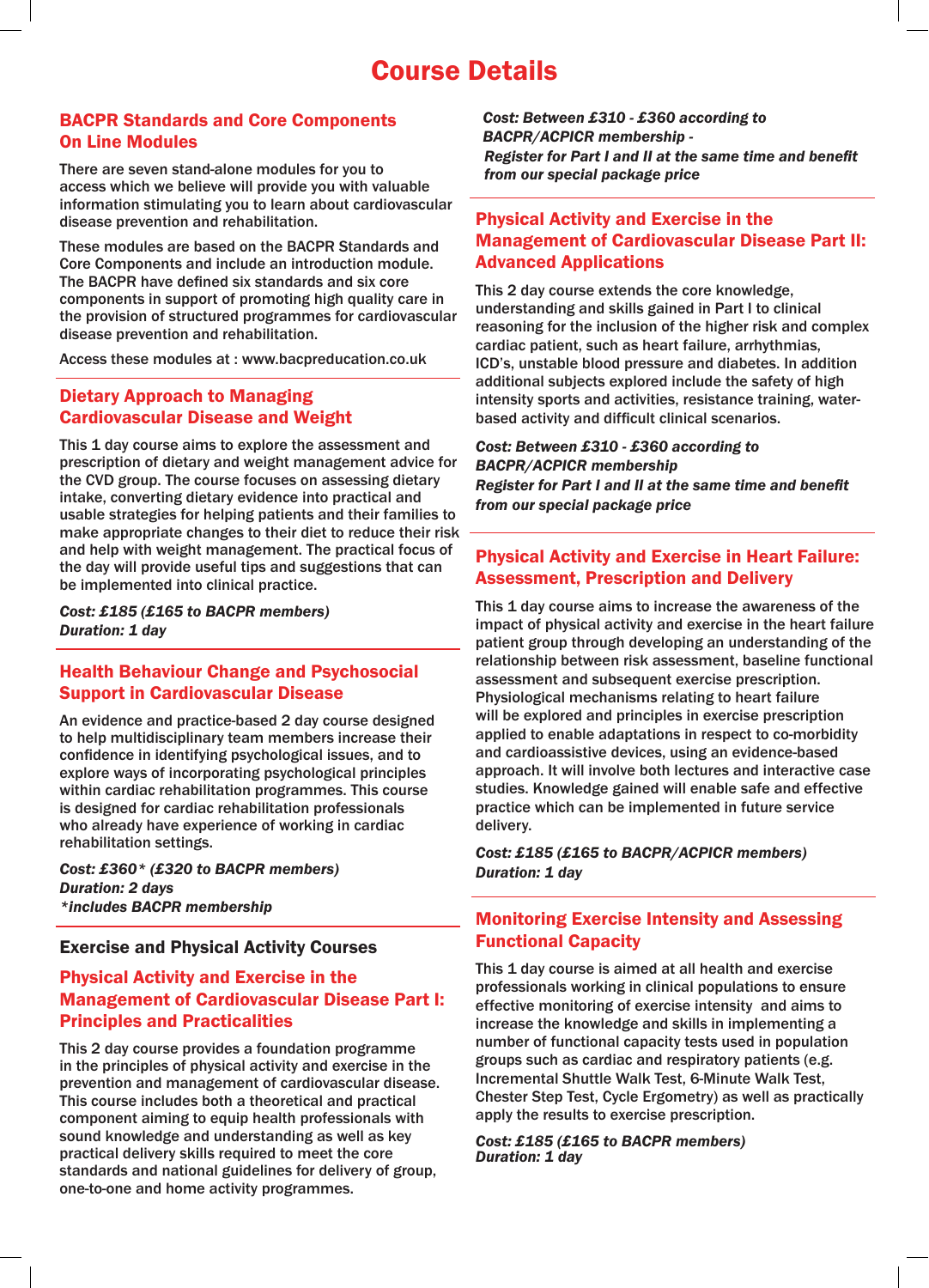# Course Details

## BACPR Standards and Core Components On Line Modules

There are seven stand-alone modules for you to access which we believe will provide you with valuable information stimulating you to learn about cardiovascular disease prevention and rehabilitation.

These modules are based on the BACPR Standards and Core Components and include an introduction module. The BACPR have defined six standards and six core components in support of promoting high quality care in the provision of structured programmes for cardiovascular disease prevention and rehabilitation.

Access these modules at : www.bacpreducation.co.uk

## Dietary Approach to Managing Cardiovascular Disease and Weight

This 1 day course aims to explore the assessment and prescription of dietary and weight management advice for the CVD group. The course focuses on assessing dietary intake, converting dietary evidence into practical and usable strategies for helping patients and their families to make appropriate changes to their diet to reduce their risk and help with weight management. The practical focus of the day will provide useful tips and suggestions that can be implemented into clinical practice.

*Cost: £185 (£165 to BACPR members) Duration: 1 day* 

#### Health Behaviour Change and Psychosocial Support in Cardiovascular Disease

An evidence and practice-based 2 day course designed to help multidisciplinary team members increase their confidence in identifying psychological issues, and to explore ways of incorporating psychological principles within cardiac rehabilitation programmes. This course is designed for cardiac rehabilitation professionals who already have experience of working in cardiac rehabilitation settings.

*Cost: £360\* (£320 to BACPR members) Duration: 2 days \*includes BACPR membership* 

### Exercise and Physical Activity Courses

# Physical Activity and Exercise in the Management of Cardiovascular Disease Part I: Principles and Practicalities

This 2 day course provides a foundation programme in the principles of physical activity and exercise in the prevention and management of cardiovascular disease. This course includes both a theoretical and practical component aiming to equip health professionals with sound knowledge and understanding as well as key practical delivery skills required to meet the core standards and national guidelines for delivery of group, one-to-one and home activity programmes.

*Cost: Between £310 - £360 according to BACPR/ACPICR membership - Register for Part I and II at the same time and benefit from our special package price* 

# Physical Activity and Exercise in the Management of Cardiovascular Disease Part II: Advanced Applications

This 2 day course extends the core knowledge, understanding and skills gained in Part I to clinical reasoning for the inclusion of the higher risk and complex cardiac patient, such as heart failure, arrhythmias, ICD's, unstable blood pressure and diabetes. In addition additional subjects explored include the safety of high intensity sports and activities, resistance training, waterbased activity and difficult clinical scenarios.

*Cost: Between £310 - £360 according to BACPR/ACPICR membership Register for Part I and II at the same time and benefit from our special package price* 

# Physical Activity and Exercise in Heart Failure: Assessment, Prescription and Delivery

This 1 day course aims to increase the awareness of the impact of physical activity and exercise in the heart failure patient group through developing an understanding of the relationship between risk assessment, baseline functional assessment and subsequent exercise prescription. Physiological mechanisms relating to heart failure will be explored and principles in exercise prescription applied to enable adaptations in respect to co-morbidity and cardioassistive devices, using an evidence-based approach. It will involve both lectures and interactive case studies. Knowledge gained will enable safe and effective practice which can be implemented in future service delivery.

*Cost: £185 (£165 to BACPR/ACPICR members) Duration: 1 day* 

# Monitoring Exercise Intensity and Assessing Functional Capacity

This 1 day course is aimed at all health and exercise professionals working in clinical populations to ensure effective monitoring of exercise intensity and aims to increase the knowledge and skills in implementing a number of functional capacity tests used in population groups such as cardiac and respiratory patients (e.g. Incremental Shuttle Walk Test, 6-Minute Walk Test, Chester Step Test, Cycle Ergometry) as well as practically apply the results to exercise prescription.

#### *Cost: £185 (£165 to BACPR members) Duration: 1 day*